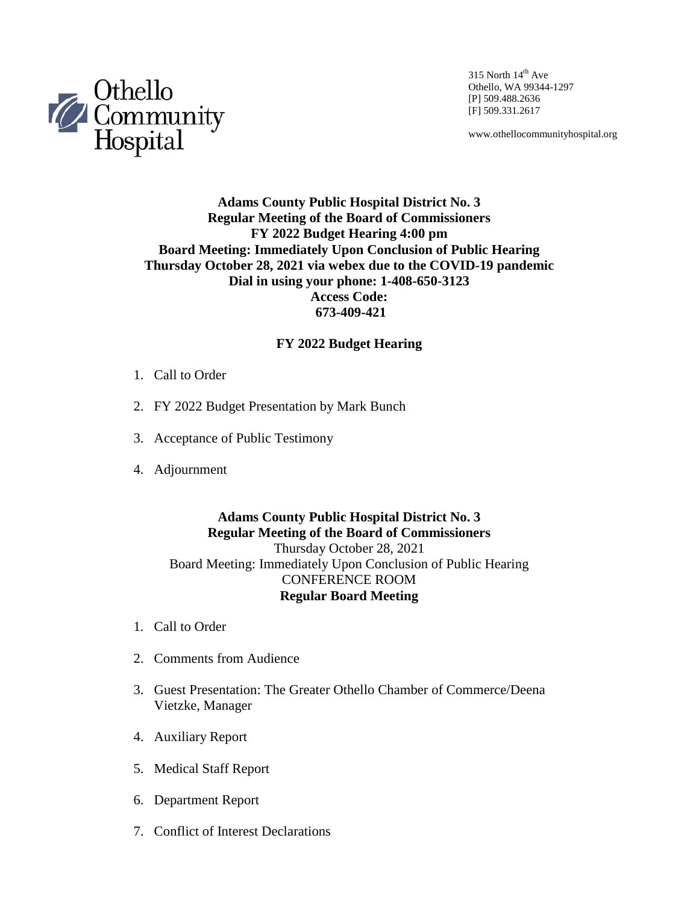

315 North  $14<sup>th</sup>$  Ave Othello, WA 99344-1297 [P] 509.488.2636 [F] 509.331.2617

www.othellocommunityhospital.org

## **Adams County Public Hospital District No. 3 Regular Meeting of the Board of Commissioners FY 2022 Budget Hearing 4:00 pm Board Meeting: Immediately Upon Conclusion of Public Hearing Thursday October 28, 2021 via webex due to the COVID-19 pandemic Dial in using your phone: 1-408-650-3123 Access Code: 673-409-421**

#### **FY 2022 Budget Hearing**

- 1. Call to Order
- 2. FY 2022 Budget Presentation by Mark Bunch
- 3. Acceptance of Public Testimony
- 4. Adjournment

### **Adams County Public Hospital District No. 3 Regular Meeting of the Board of Commissioners** Thursday October 28, 2021 Board Meeting: Immediately Upon Conclusion of Public Hearing CONFERENCE ROOM **Regular Board Meeting**

- 1. Call to Order
- 2. Comments from Audience
- 3. Guest Presentation: The Greater Othello Chamber of Commerce/Deena Vietzke, Manager
- 4. Auxiliary Report
- 5. Medical Staff Report
- 6. Department Report
- 7. Conflict of Interest Declarations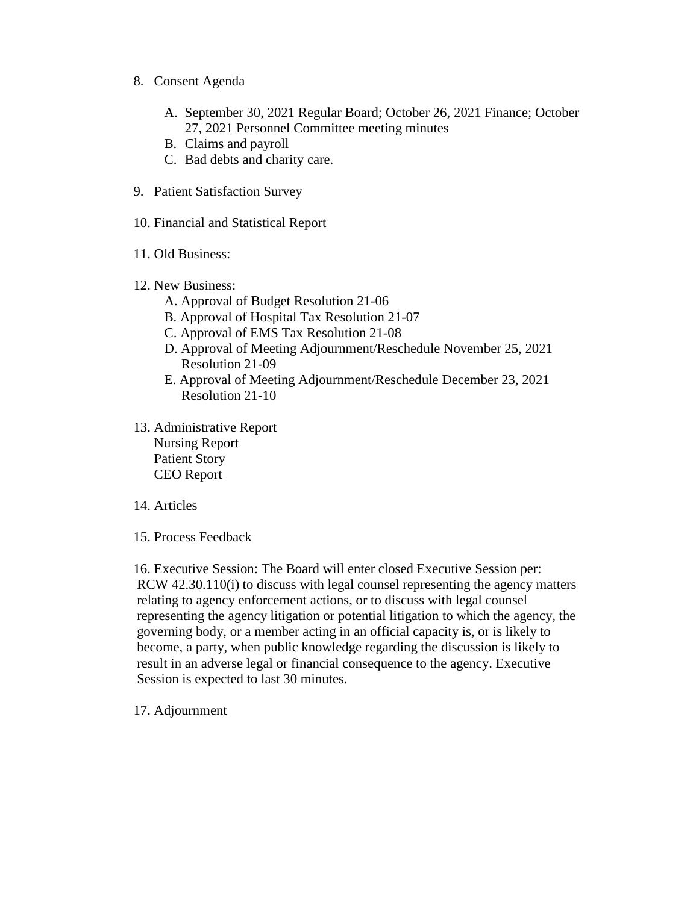- 8. Consent Agenda
	- A. September 30, 2021 Regular Board; October 26, 2021 Finance; October 27, 2021 Personnel Committee meeting minutes
	- B. Claims and payroll
	- C. Bad debts and charity care.
- 9. Patient Satisfaction Survey
- 10. Financial and Statistical Report
- 11. Old Business:
- 12. New Business:
	- A. Approval of Budget Resolution 21-06
	- B. Approval of Hospital Tax Resolution 21-07
	- C. Approval of EMS Tax Resolution 21-08
	- D. Approval of Meeting Adjournment/Reschedule November 25, 2021 Resolution 21-09
	- E. Approval of Meeting Adjournment/Reschedule December 23, 2021 Resolution 21-10
- 13. Administrative Report Nursing Report Patient Story CEO Report
- 14. Articles
- 15. Process Feedback

16. Executive Session: The Board will enter closed Executive Session per: RCW 42.30.110(i) to discuss with legal counsel representing the agency matters relating to agency enforcement actions, or to discuss with legal counsel representing the agency litigation or potential litigation to which the agency, the governing body, or a member acting in an official capacity is, or is likely to become, a party, when public knowledge regarding the discussion is likely to result in an adverse legal or financial consequence to the agency. Executive Session is expected to last 30 minutes.

17. Adjournment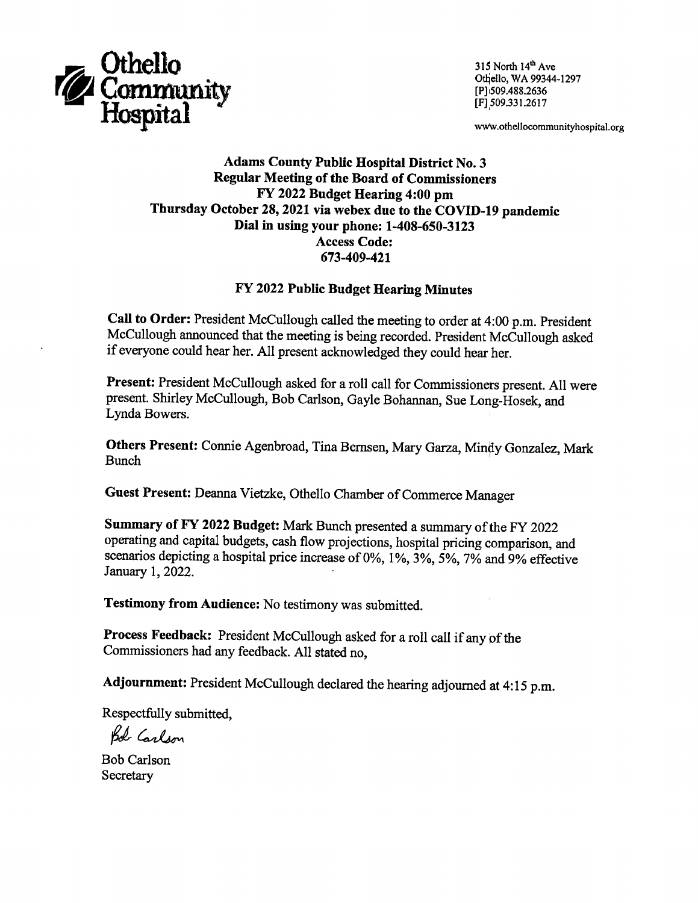

315 North 14th Ave Othello, WA 99344-1297 [P] 509.488.2636 [F] 509.331.2617

www.othellocommunityhospital.org

### **Adams County Public Hospital District No. 3 Regular Meeting of the Board of Commissioners** FY 2022 Budget Hearing 4:00 pm Thursday October 28, 2021 via webex due to the COVID-19 pandemic Dial in using your phone: 1-408-650-3123 **Access Code:** 673-409-421

#### FY 2022 Public Budget Hearing Minutes

Call to Order: President McCullough called the meeting to order at 4:00 p.m. President McCullough announced that the meeting is being recorded. President McCullough asked if everyone could hear her. All present acknowledged they could hear her.

Present: President McCullough asked for a roll call for Commissioners present. All were present. Shirley McCullough, Bob Carlson, Gayle Bohannan, Sue Long-Hosek, and Lynda Bowers.

Others Present: Connie Agenbroad, Tina Bernsen, Mary Garza, Mindy Gonzalez, Mark **Bunch** 

Guest Present: Deanna Vietzke, Othello Chamber of Commerce Manager

Summary of FY 2022 Budget: Mark Bunch presented a summary of the FY 2022 operating and capital budgets, cash flow projections, hospital pricing comparison, and scenarios depicting a hospital price increase of 0%, 1%, 3%, 5%, 7% and 9% effective January 1, 2022.

**Testimony from Audience:** No testimony was submitted.

Process Feedback: President McCullough asked for a roll call if any of the Commissioners had any feedback. All stated no.

Adjournment: President McCullough declared the hearing adjourned at 4:15 p.m.

Respectfully submitted,

Bol Carlson

**Bob Carlson** Secretary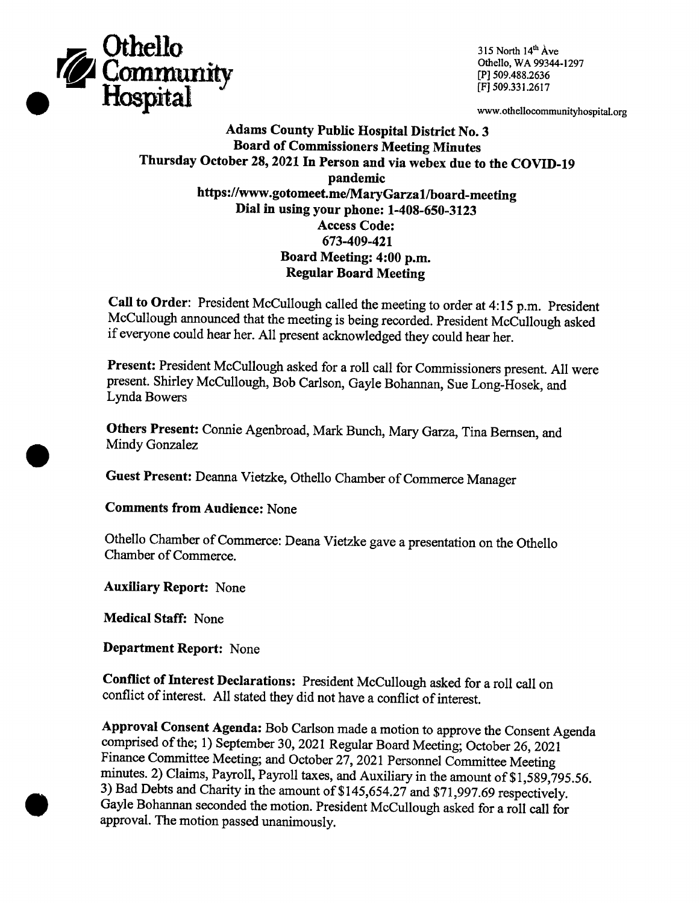

315 North 14th Ave Othello, WA 99344-1297 [P] 509.488.2636 [F] 509.331.2617

www.othellocommunityhospital.org

**Adams County Public Hospital District No. 3 Board of Commissioners Meeting Minutes** Thursday October 28, 2021 In Person and via webex due to the COVID-19 pandemic https://www.gotomeet.me/MaryGarza1/board-meeting Dial in using your phone: 1-408-650-3123 **Access Code:** 673-409-421 Board Meeting: 4:00 p.m. **Regular Board Meeting** 

Call to Order: President McCullough called the meeting to order at 4:15 p.m. President McCullough announced that the meeting is being recorded. President McCullough asked if everyone could hear her. All present acknowledged they could hear her.

Present: President McCullough asked for a roll call for Commissioners present. All were present. Shirley McCullough, Bob Carlson, Gayle Bohannan, Sue Long-Hosek, and Lynda Bowers

Others Present: Connie Agenbroad, Mark Bunch, Mary Garza, Tina Bernsen, and Mindy Gonzalez

Guest Present: Deanna Vietzke, Othello Chamber of Commerce Manager

**Comments from Audience: None** 

Othello Chamber of Commerce: Deana Vietzke gave a presentation on the Othello Chamber of Commerce.

**Auxiliary Report: None** 

**Medical Staff: None** 

**Department Report: None** 

Conflict of Interest Declarations: President McCullough asked for a roll call on conflict of interest. All stated they did not have a conflict of interest.

Approval Consent Agenda: Bob Carlson made a motion to approve the Consent Agenda comprised of the; 1) September 30, 2021 Regular Board Meeting; October 26, 2021 Finance Committee Meeting; and October 27, 2021 Personnel Committee Meeting minutes. 2) Claims, Payroll, Payroll taxes, and Auxiliary in the amount of \$1,589,795.56. 3) Bad Debts and Charity in the amount of \$145,654.27 and \$71,997.69 respectively. Gayle Bohannan seconded the motion. President McCullough asked for a roll call for approval. The motion passed unanimously.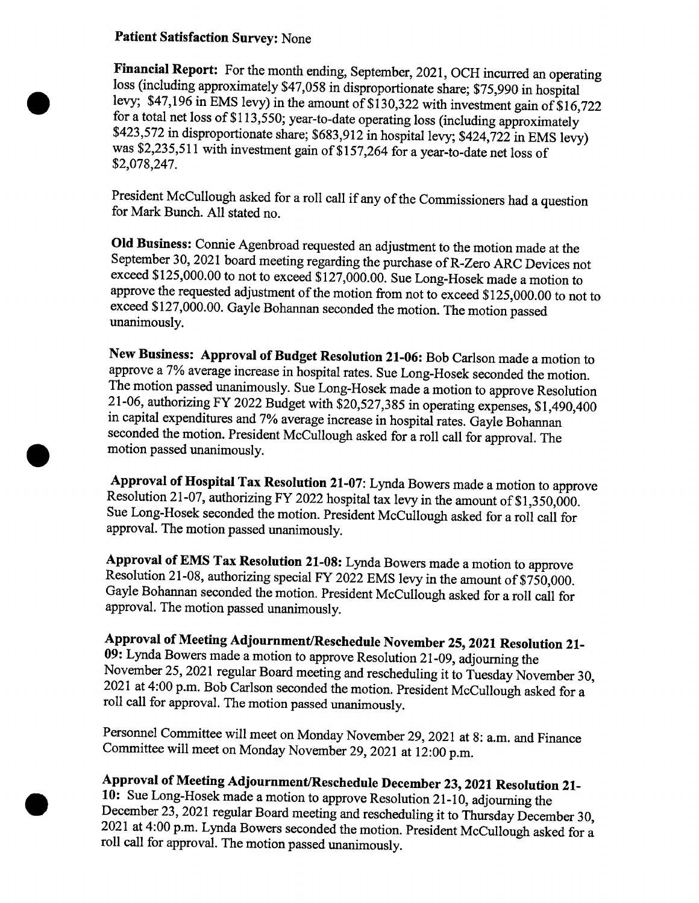### **Patient Satisfaction Survey: None**

Financial Report: For the month ending, September, 2021, OCH incurred an operating loss (including approximately \$47,058 in disproportionate share; \$75,990 in hospital levy; \$47,196 in EMS levy) in the amount of \$130,322 with investment gain of \$16,722 for a total net loss of \$113,550; year-to-date operating loss (including approximately \$423,572 in disproportionate share; \$683,912 in hospital levy; \$424,722 in EMS levy) was \$2,235,511 with investment gain of \$157,264 for a year-to-date net loss of \$2,078,247.

President McCullough asked for a roll call if any of the Commissioners had a question for Mark Bunch. All stated no.

Old Business: Connie Agenbroad requested an adjustment to the motion made at the September 30, 2021 board meeting regarding the purchase of R-Zero ARC Devices not exceed \$125,000.00 to not to exceed \$127,000.00. Sue Long-Hosek made a motion to approve the requested adjustment of the motion from not to exceed \$125,000.00 to not to exceed \$127,000.00. Gayle Bohannan seconded the motion. The motion passed unanimously.

New Business: Approval of Budget Resolution 21-06: Bob Carlson made a motion to approve a 7% average increase in hospital rates. Sue Long-Hosek seconded the motion. The motion passed unanimously. Sue Long-Hosek made a motion to approve Resolution 21-06, authorizing FY 2022 Budget with \$20,527,385 in operating expenses, \$1,490,400 in capital expenditures and 7% average increase in hospital rates. Gayle Bohannan seconded the motion. President McCullough asked for a roll call for approval. The motion passed unanimously.

Approval of Hospital Tax Resolution 21-07: Lynda Bowers made a motion to approve Resolution 21-07, authorizing FY 2022 hospital tax levy in the amount of \$1,350,000. Sue Long-Hosek seconded the motion. President McCullough asked for a roll call for approval. The motion passed unanimously.

Approval of EMS Tax Resolution 21-08: Lynda Bowers made a motion to approve Resolution 21-08, authorizing special FY 2022 EMS levy in the amount of \$750,000. Gayle Bohannan seconded the motion. President McCullough asked for a roll call for approval. The motion passed unanimously.

Approval of Meeting Adjournment/Reschedule November 25, 2021 Resolution 21-09: Lynda Bowers made a motion to approve Resolution 21-09, adjourning the November 25, 2021 regular Board meeting and rescheduling it to Tuesday November 30, 2021 at 4:00 p.m. Bob Carlson seconded the motion. President McCullough asked for a roll call for approval. The motion passed unanimously.

Personnel Committee will meet on Monday November 29, 2021 at 8: a.m. and Finance Committee will meet on Monday November 29, 2021 at 12:00 p.m.

# Approval of Meeting Adjournment/Reschedule December 23, 2021 Resolution 21-

10: Sue Long-Hosek made a motion to approve Resolution 21-10, adjourning the December 23, 2021 regular Board meeting and rescheduling it to Thursday December 30, 2021 at 4:00 p.m. Lynda Bowers seconded the motion. President McCullough asked for a roll call for approval. The motion passed unanimously.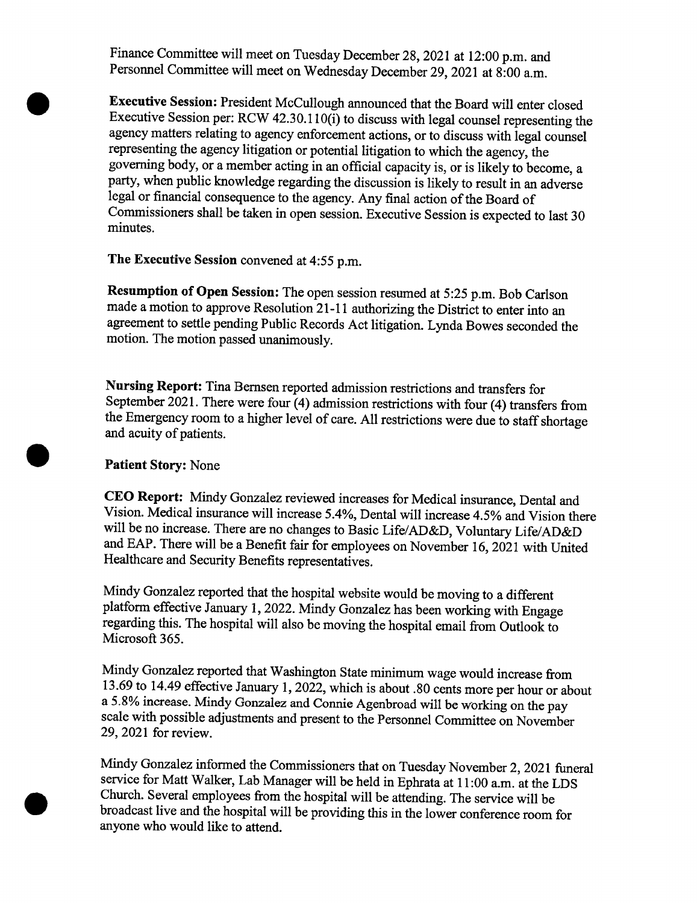Finance Committee will meet on Tuesday December 28, 2021 at 12:00 p.m. and Personnel Committee will meet on Wednesday December 29, 2021 at 8:00 a.m.

Executive Session: President McCullough announced that the Board will enter closed Executive Session per: RCW 42.30.110(i) to discuss with legal counsel representing the agency matters relating to agency enforcement actions, or to discuss with legal counsel representing the agency litigation or potential litigation to which the agency, the governing body, or a member acting in an official capacity is, or is likely to become, a party, when public knowledge regarding the discussion is likely to result in an adverse legal or financial consequence to the agency. Any final action of the Board of Commissioners shall be taken in open session. Executive Session is expected to last 30 minutes.

The Executive Session convened at 4:55 p.m.

Resumption of Open Session: The open session resumed at 5:25 p.m. Bob Carlson made a motion to approve Resolution 21-11 authorizing the District to enter into an agreement to settle pending Public Records Act litigation. Lynda Bowes seconded the motion. The motion passed unanimously.

Nursing Report: Tina Bernsen reported admission restrictions and transfers for September 2021. There were four (4) admission restrictions with four (4) transfers from the Emergency room to a higher level of care. All restrictions were due to staff shortage and acuity of patients.

## **Patient Story: None**

CEO Report: Mindy Gonzalez reviewed increases for Medical insurance, Dental and Vision. Medical insurance will increase 5.4%, Dental will increase 4.5% and Vision there will be no increase. There are no changes to Basic Life/AD&D, Voluntary Life/AD&D and EAP. There will be a Benefit fair for employees on November 16, 2021 with United Healthcare and Security Benefits representatives.

Mindy Gonzalez reported that the hospital website would be moving to a different platform effective January 1, 2022. Mindy Gonzalez has been working with Engage regarding this. The hospital will also be moving the hospital email from Outlook to Microsoft 365.

Mindy Gonzalez reported that Washington State minimum wage would increase from 13.69 to 14.49 effective January 1, 2022, which is about .80 cents more per hour or about a 5.8% increase. Mindy Gonzalez and Connie Agenbroad will be working on the pay scale with possible adjustments and present to the Personnel Committee on November 29, 2021 for review.

Mindy Gonzalez informed the Commissioners that on Tuesday November 2, 2021 funeral service for Matt Walker, Lab Manager will be held in Ephrata at 11:00 a.m. at the LDS Church. Several employees from the hospital will be attending. The service will be broadcast live and the hospital will be providing this in the lower conference room for anyone who would like to attend.